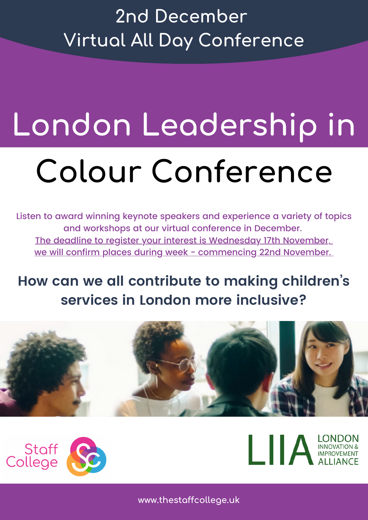### **2nd December Virtual All Day Conference**

# **London Leadership in Colour Conference**

Listen to award winning keynote speakers and experience a variety of topics and workshops at our virtual conference in December. The deadline to register your interest is Wednesday 17th November, we will confirm places during week - commencing 22nd November.

#### **How can we all contribute to making children ' s services in London more inclusive?**







**www.thestaffcollege.uk**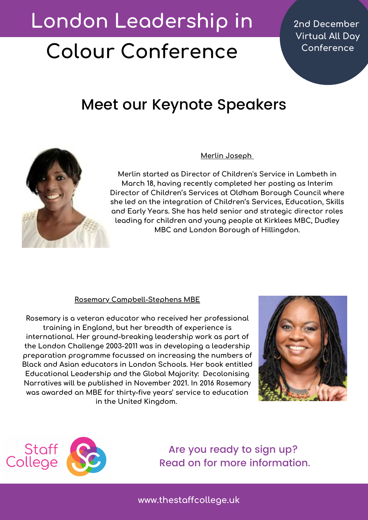## **London Leadership in**

# **Colour Conference**

**2nd December Virtual All Day Conference**

#### Meet our Keynote Speakers



#### **Merlin Joseph**

**Merlin started as Director of Children's Service in Lambeth in March 18, having recently completed her posting as Interim Director of Children's Services at Oldham Borough Council where she led on the integration of Children's Services, Education, Skills and Early Years. She has held senior and strategic director roles leading for children and young people at Kirklees MBC, Dudley MBC and London Borough of Hillingdon.**

#### **Rosemary Campbell-Stephens MBE**

**Rosemary is a veteran educator who received her professional training in England, but her breadth of experience is international. Her ground-breaking leadership work as part of the London Challenge 2003-2011 was in developing a leadership preparation programme focussed on increasing the numbers of Black and Asian educators in London Schools. Her book entitled Educational Leadership and the Global Majority: Decolonising Narratives will be published in November 2021. In 2016 Rosemary was awarded an MBE for thirty-five years' service to education in the United Kingdom.**





Are you ready to sign up? Read on for more information.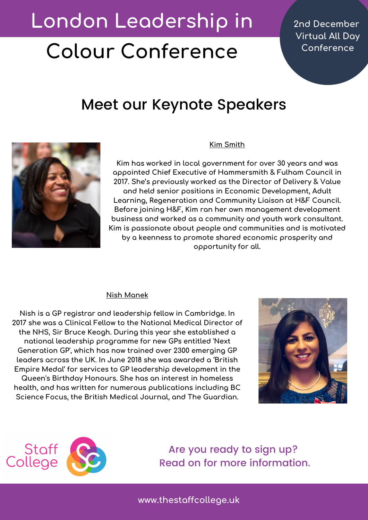## **London Leadership in**

# **Colour Conference**

**2nd December Virtual All Day Conference**

#### Meet our Keynote Speakers



#### **Kim Smith**

**Kim has worked in local government for over 30 years and was appointed Chief Executive of Hammersmith & Fulham Council in 2017. She's previously worked as the Director of Delivery & Value and held senior positions in Economic Development, Adult Learning, Regeneration and Community Liaison at H&F Council. Before joining H&F, Kim ran her own management development business and worked as a community and youth work consultant. Kim is passionate about people and communities and is motivated by a keenness to promote shared economic prosperity and opportunity for all.**

#### **Nish Manek**

**Nish is a GP registrar and leadership fellow in Cambridge. In 2017 she was a Clinical Fellow to the National Medical Director of the NHS, Sir Bruce Keogh. During this year she established a national leadership programme for new GPs entitled 'Next Generation GP', which has now trained over 2300 emerging GP leaders across the UK. In June 2018 she was awarded a 'British Empire Medal' for services to GP leadership development in the Queen's Birthday Honours. She has an interest in homeless health, and has written for numerous publications including BC Science Focus, the British Medical Journal, and The Guardian.**





Are you ready to sign up? Read on for more information.